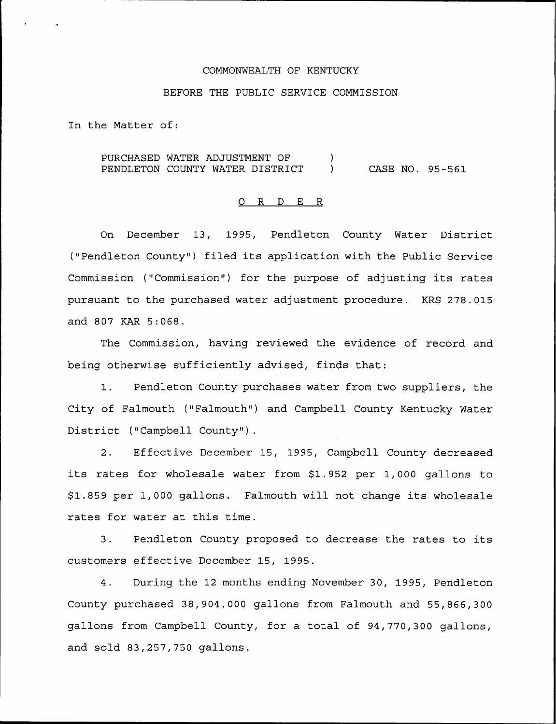### COMMONWEALTH OF KENTUCKY

### BEFORE THE PUBLIC SERVICE COMMISSION

In the Matter of:

PURCHASED WATER ADJUSTMENT OF  $\left( \begin{array}{cc} \circ & \circ & \circ \\ \circ & \circ & \circ \end{array} \right)$ PENDLETON COUNTY WATER DISTRICT ) CASE NO. 95-561

## O R D E R

On December 13, 1995, Pendleton County Water District ("Pendleton County") filed its application with the Public Service Commission ("Commission") for the purpose of adjusting its rates pursuant to the purchased water adjustment procedure. KRS 278.015 and 807 KAR 5:068.

The Commission, having reviewed the evidence of record and being otherwise sufficiently advised, finds that:

1. Pendleton County purchases water from two suppliers, the City of Falmouth ("Falmouth") and Campbell County Kentucky Water District ("Campbell County").

2. Effective December 15, 1995, Campbell County decreased its rates for wholesale water from \$1.952 per 1,000 gallons to \$ 1.859 per 1,000 gallons. Falmouth will not change its wholesale rates for water at this time.

3. Pendleton County proposed to decrease the rates to its customers effective December 15, 1995.

4. During the 12 months ending November 30, 1995, Pendleton County purchased 38,904,000 gallons from Falmouth and 55,866,300 gallons from Campbell County, for a total of 94,770,300 gallons, and sold 83,257,750 gallons.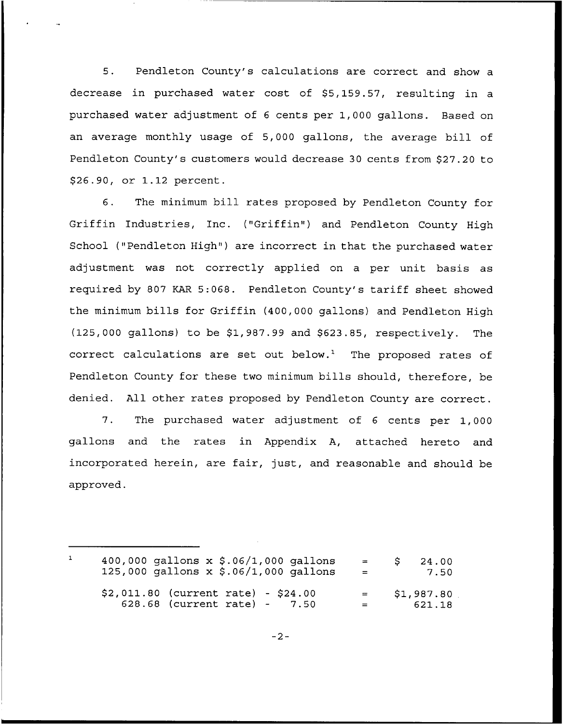5. Pendleton County's calculations are correct and show a decrease in purchased water cost of \$5,159.57, resulting in a purchased water adjustment of <sup>6</sup> cents per 1,000 gallons. Based on an average monthly usage of 5,000 gallons, the average bill of Pendleton County's customers would decrease 30 cents from \$27.20 to \$26.90, or 1.12 percent.

6. The minimum bill rates proposed by Pendleton County for Griffin Industries, Inc. ("Griffin") and Pendleton County High School ("Pendleton High") are incorrect in that the purchased water adjustment was not correctly applied on a per unit basis as required by 807 KAR 5:068. Pendleton County's tariff sheet showed the minimum bills for Griffin (400,000 gallons) and Pendleton High  $(125,000 \text{ gallons})$  to be \$1,987.99 and \$623.85, respectively. The correct calculations are set out below.<sup>1</sup> The proposed rates of Pendleton County for these two minimum bills should, therefore, be denied. All other rates proposed by Pendleton County are correct.

7. The purchased water adjustment of <sup>6</sup> cents per 1,000 gallons and the rates in Appendix A, attached hereto and incorporated herein, are fair, just, and reasonable and should be approved.

 $\mathbf{1}$ 400,000 gallons x \$ .06/1,000 gallons  $$ 24.00$  $=$ 125,000 gallons x \$.06/1,000 gallons 7.50  $=$ \$2,011.80 (current rate) - \$24.00<br>628.68 (current rate) - 7.50 \$1,987.80  $=$  $628.68$  (current rate) -621.18 $=$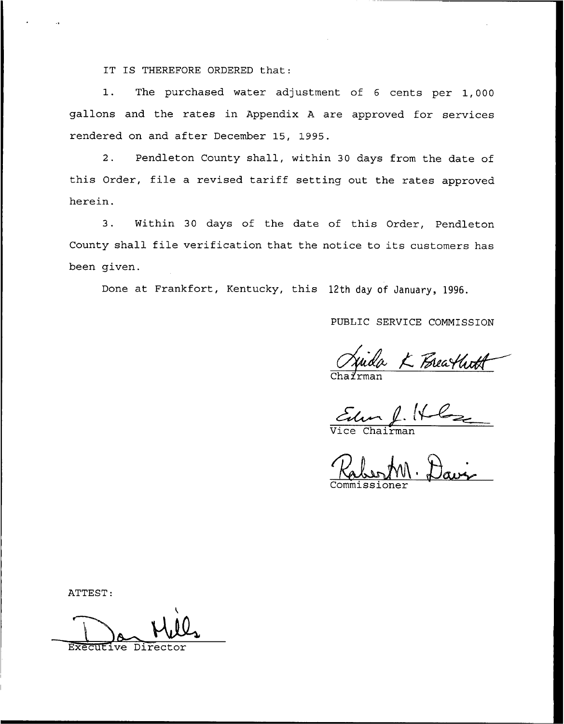IT IS THEREFORE ORDERED that:

1. The purchased water adjustment of <sup>6</sup> cents per 1,000 gallons and the rates in Appendix <sup>A</sup> are approved for services rendered on and after December 15, 1995.

2. Pendleton County shall, within 30 days from the date of this Order, file a revised tariff setting out the rates approved herein.

3. Within 30 days of the date of this Order, Pendleton County shall file verification that the notice to its customers has been given.

Done at Frankfort, Kentucky, this 12th day of January, 1996.

PUBLIC SERVICE COMMISSION

<u>Nuida K Bre</u> 996.<br>MISSION<br><del>YUUA</del> Auda<br>harman<br>Elun

Edon J. He

<u>avs</u> Commissione

ATTEST:

Executive